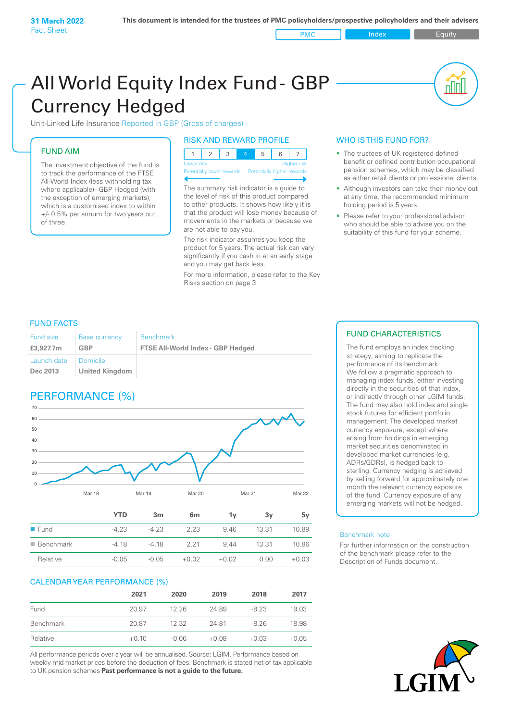PMC Index PMC Equity

nN

# All World Equity Index Fund- GBP Currency Hedged

Unit-Linked Life Insurance Reported in GBP (Gross of charges)

# FUND AIM

The investment objective of the fund is to track the performance of the FTSE All-World Index (less withholding tax where applicable)- GBP Hedged (with the exception of emerging markets), which is a customised index to within +/- 0.5% per annum for two years out of three.

# RISK AND REWARD PROFILE

| Lower risk |  |  | <b>Higher risk</b> |
|------------|--|--|--------------------|

ntially lower rewards Potentially higher rey

The summary risk indicator is a guide to the level of risk of this product compared to other products. It shows how likely it is that the product will lose money because of movements in the markets or because we are not able to pay you.

The risk indicator assumes you keep the product for 5 years. The actual risk can vary significantly if you cash in at an early stage and you may get back less.

For more information, please refer to the Key Risks section on page 3.

# WHO IS THIS FUND FOR?

- The trustees of UK registered defined benefit or defined contribution occupational pension schemes, which may be classified as either retail clients or professional clients.
- Although investors can take their money out at any time, the recommended minimum holding period is 5 years.
- Please refer to your professional advisor who should be able to advise you on the suitability of this fund for your scheme.

# FUND FACTS

| <b>Fund size</b>                   | <b>Base currency</b> | <b>Benchmark</b>                         |
|------------------------------------|----------------------|------------------------------------------|
| £3,927.7m                          | GBP                  | <b>FTSE All-World Index - GBP Hedged</b> |
| Launch date   Domicile<br>Dec 2013 | United Kingdom       |                                          |

# PERFORMANCE (%)



| ■ Benchmark | $-418$ | -4 18 | 221     | 944     | 13.31 | 10.86   |
|-------------|--------|-------|---------|---------|-------|---------|
| Relative    | -0.05  | -0.05 | $+0.02$ | $+0.02$ | 0.00  | $+0.03$ |

# CALENDAR YEAR PERFORMANCE (%)

|           | 2021    | 2020    | 2019    | 2018    | 2017    |
|-----------|---------|---------|---------|---------|---------|
| Fund      | 20.97   | 12.26   | 24.89   | $-8.23$ | 19.03   |
| Benchmark | 20.87   | 12.32   | 2481    | $-8.26$ | 18.98   |
| Relative  | $+0.10$ | $-0.06$ | $+0.08$ | $+0.03$ | $+0.05$ |

All performance periods over a year will be annualised. Source: LGIM. Performance based on weekly mid-market prices before the deduction of fees. Benchmark is stated net of tax applicable to UK pension schemes **Past performance is not a guide to the future.**

# FUND CHARACTERISTICS

The fund employs an index tracking strategy, aiming to replicate the performance of its benchmark. We follow a pragmatic approach to managing index funds, either investing directly in the securities of that index, or indirectly through other LGIM funds. The fund may also hold index and single stock futures for efficient portfolio management. The developed market currency exposure, except where arising from holdings in emerging market securities denominated in developed market currencies (e.g. ADRs/GDRs), is hedged back to sterling. Currency hedging is achieved by selling forward for approximately one month the relevant currency exposure of the fund. Currency exposure of any emerging markets will not be hedged.

#### Benchmark note

For further information on the construction of the benchmark please refer to the Description of Funds document.

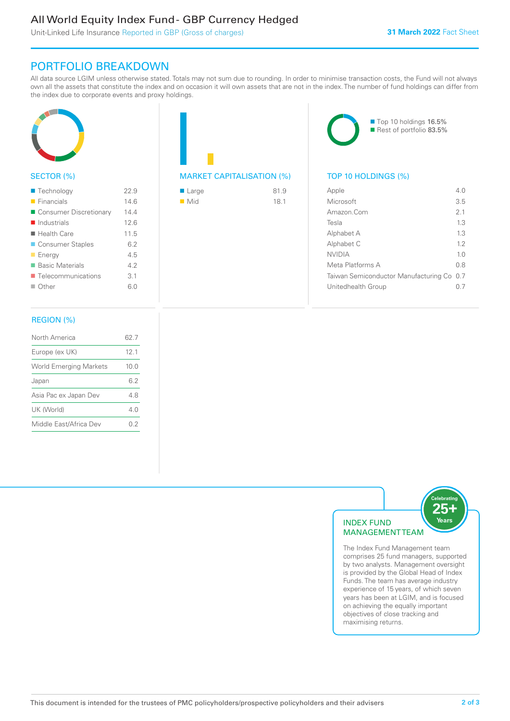# All World Equity Index Fund - GBP Currency Hedged

Unit-Linked Life Insurance Reported in GBP (Gross of charges)

# PORTFOLIO BREAKDOWN

All data source LGIM unless otherwise stated. Totals may not sum due to rounding. In order to minimise transaction costs, the Fund will not always own all the assets that constitute the index and on occasion it will own assets that are not in the index. The number of fund holdings can differ from the index due to corporate events and proxy holdings.



# SECTOR (%)

| ■ Technology               | 22.9 |
|----------------------------|------|
| $\blacksquare$ Financials  | 14.6 |
| ■ Consumer Discretionary   | 14.4 |
| $\blacksquare$ Industrials | 12.6 |
| $\blacksquare$ Health Care | 11.5 |
| ■ Consumer Staples         | 6.2  |
| <b>Energy</b>              | 4.5  |
| ■ Basic Materials          | 42   |
| ■ Telecommunications       | 3.1  |
| $\Box$ Other               | 6.0  |
|                            |      |

# MARKET CAPITALISATION (%) TOP 10 HOLDINGS (%)

| ■ Large            | 81.9 |
|--------------------|------|
| $\blacksquare$ Mid | 18.1 |



| Apple                                     | 4 N            |
|-------------------------------------------|----------------|
| Microsoft                                 | 3.5            |
| Amazon Com                                | 2 <sub>1</sub> |
| Tesla                                     | 13             |
| Alphabet A                                | 13             |
| Alphabet C                                | 12             |
| <b>NVIDIA</b>                             | 1 <sub>0</sub> |
| Meta Platforms A                          | 0 S            |
| Taiwan Semiconductor Manufacturing Co 0.7 |                |
| Unitedhealth Group                        |                |

## REGION (%)

| North America                 | 62.7 |
|-------------------------------|------|
| Europe (ex UK)                | 12.1 |
| <b>World Emerging Markets</b> | 10.0 |
| Japan                         | 62   |
| Asia Pac ex Japan Dev         | 48   |
| UK (World)                    | 4 N  |
| Middle East/Africa Dev        | 02   |
|                               |      |



comprises 25 fund managers, supported by two analysts. Management oversight is provided by the Global Head of Index Funds. The team has average industry experience of 15 years, of which seven years has been at LGIM, and is focused on achieving the equally important objectives of close tracking and maximising returns.